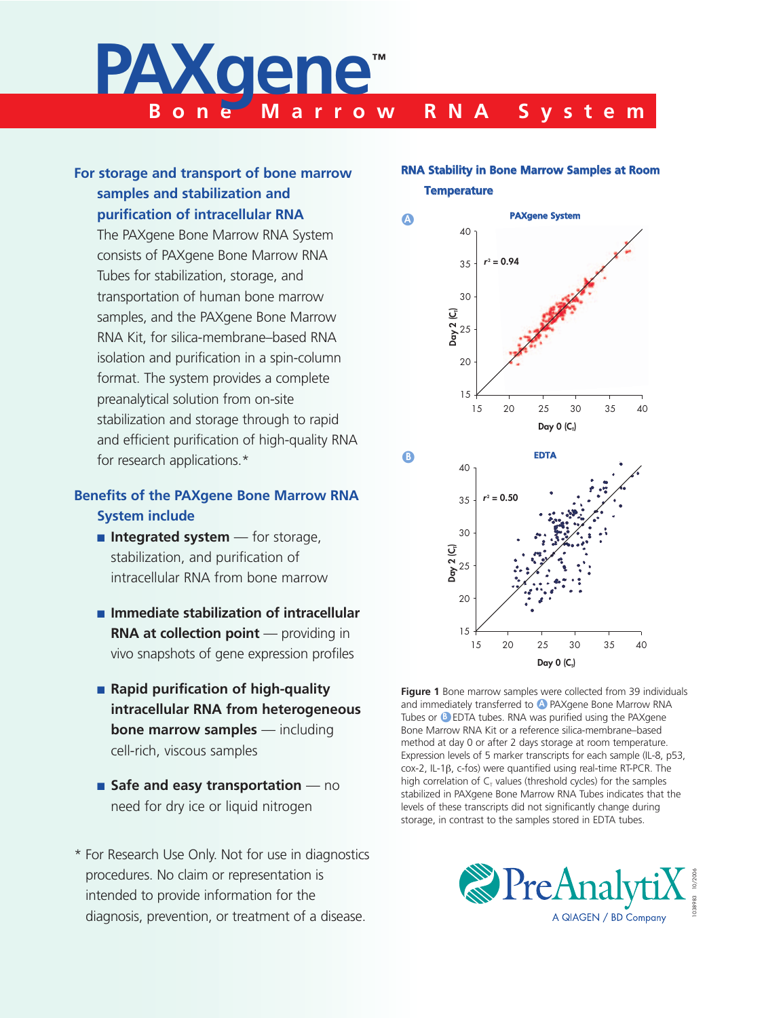# **Bone Marrow RNA System PAXgene™**

# **For storage and transport of bone marrow samples and stabilization and purification of intracellular RNA**

The PAXgene Bone Marrow RNA System consists of PAXgene Bone Marrow RNA Tubes for stabilization, storage, and transportation of human bone marrow samples, and the PAXgene Bone Marrow RNA Kit, for silica-membrane–based RNA isolation and purification in a spin-column format. The system provides a complete preanalytical solution from on-site stabilization and storage through to rapid and efficient purification of high-quality RNA for research applications.\*

# **Benefits of the PAXgene Bone Marrow RNA System include**

- **Integrated system** for storage, stabilization, and purification of intracellular RNA from bone marrow
- $\blacksquare$  Immediate stabilization of intracellular **RNA at collection point** — providing in vivo snapshots of gene expression profiles
- **Rapid purification of high-quality intracellular RNA from heterogeneous bone marrow samples** — including cell-rich, viscous samples
- **Example 3 Safe and easy transportation** no need for dry ice or liquid nitrogen
- \* For Research Use Only. Not for use in diagnostics procedures. No claim or representation is intended to provide information for the diagnosis, prevention, or treatment of a disease.

# **RNA Stability in Bone Marrow Samples at Room Temperature**



**Figure 1** Bone marrow samples were collected from 39 individuals and immediately transferred to **A** PAXgene Bone Marrow RNA Tubes or <sup>8</sup> EDTA tubes. RNA was purified using the PAXgene Bone Marrow RNA Kit or a reference silica-membrane–based method at day 0 or after 2 days storage at room temperature. Expression levels of 5 marker transcripts for each sample (IL-8, p53, cox-2, IL-1β, c-fos) were quantified using real-time RT-PCR. The high correlation of  $C_T$  values (threshold cycles) for the samples stabilized in PAXgene Bone Marrow RNA Tubes indicates that the levels of these transcripts did not significantly change during storage, in contrast to the samples stored in EDTA tubes.

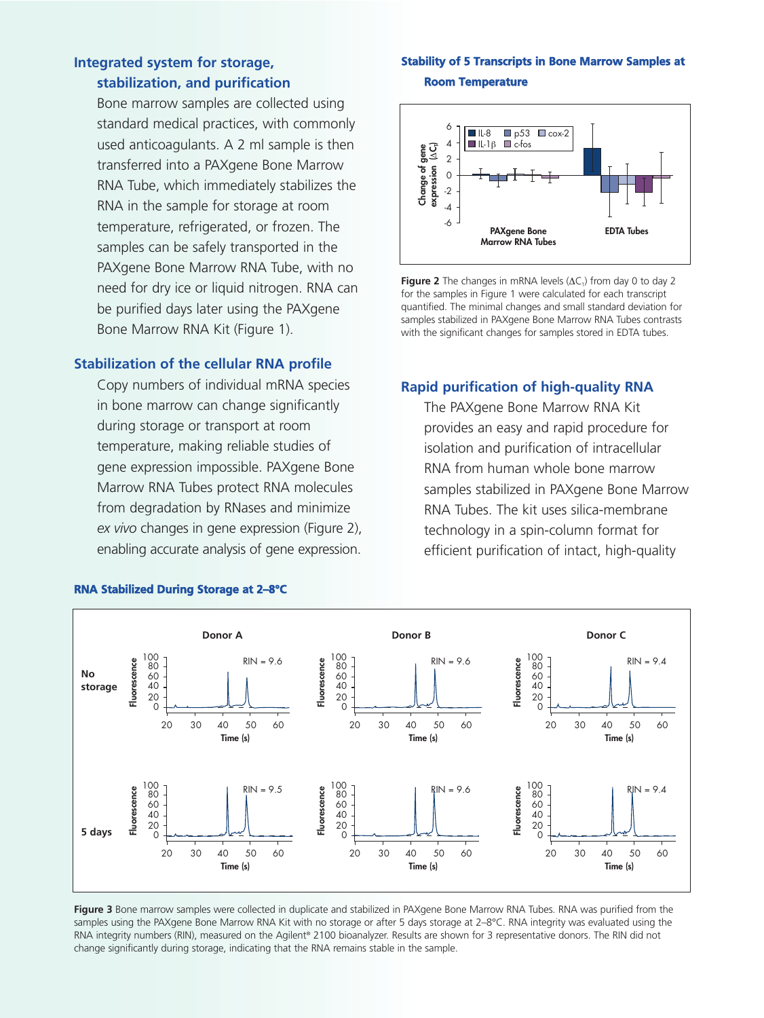# **Integrated system for storage, stabilization, and purification**

Bone marrow samples are collected using standard medical practices, with commonly used anticoagulants. A 2 ml sample is then transferred into a PAXgene Bone Marrow RNA Tube, which immediately stabilizes the RNA in the sample for storage at room temperature, refrigerated, or frozen. The samples can be safely transported in the PAXgene Bone Marrow RNA Tube, with no need for dry ice or liquid nitrogen. RNA can be purified days later using the PAXgene Bone Marrow RNA Kit (Figure 1).

### **Stabilization of the cellular RNA profile**

Copy numbers of individual mRNA species in bone marrow can change significantly during storage or transport at room temperature, making reliable studies of gene expression impossible. PAXgene Bone Marrow RNA Tubes protect RNA molecules from degradation by RNases and minimize *ex vivo* changes in gene expression (Figure 2), enabling accurate analysis of gene expression.

## **Stability of 5 Transcripts in Bone Marrow Samples at Room Temperature**



**Figure 2** The changes in mRNA levels  $(AC<sub>T</sub>)$  from day 0 to day 2 for the samples in Figure 1 were calculated for each transcript quantified. The minimal changes and small standard deviation for samples stabilized in PAXgene Bone Marrow RNA Tubes contrasts with the significant changes for samples stored in EDTA tubes.

# **Rapid purification of high-quality RNA**

The PAXgene Bone Marrow RNA Kit provides an easy and rapid procedure for isolation and purification of intracellular RNA from human whole bone marrow samples stabilized in PAXgene Bone Marrow RNA Tubes. The kit uses silica-membrane technology in a spin-column format for efficient purification of intact, high-quality



# **RNA Stabilized During Storage at 2–8°C**

**Figure 3** Bone marrow samples were collected in duplicate and stabilized in PAXgene Bone Marrow RNA Tubes. RNA was purified from the samples using the PAXgene Bone Marrow RNA Kit with no storage or after 5 days storage at 2–8°C. RNA integrity was evaluated using the RNA integrity numbers (RIN), measured on the Agilent® 2100 bioanalyzer. Results are shown for 3 representative donors. The RIN did not change significantly during storage, indicating that the RNA remains stable in the sample.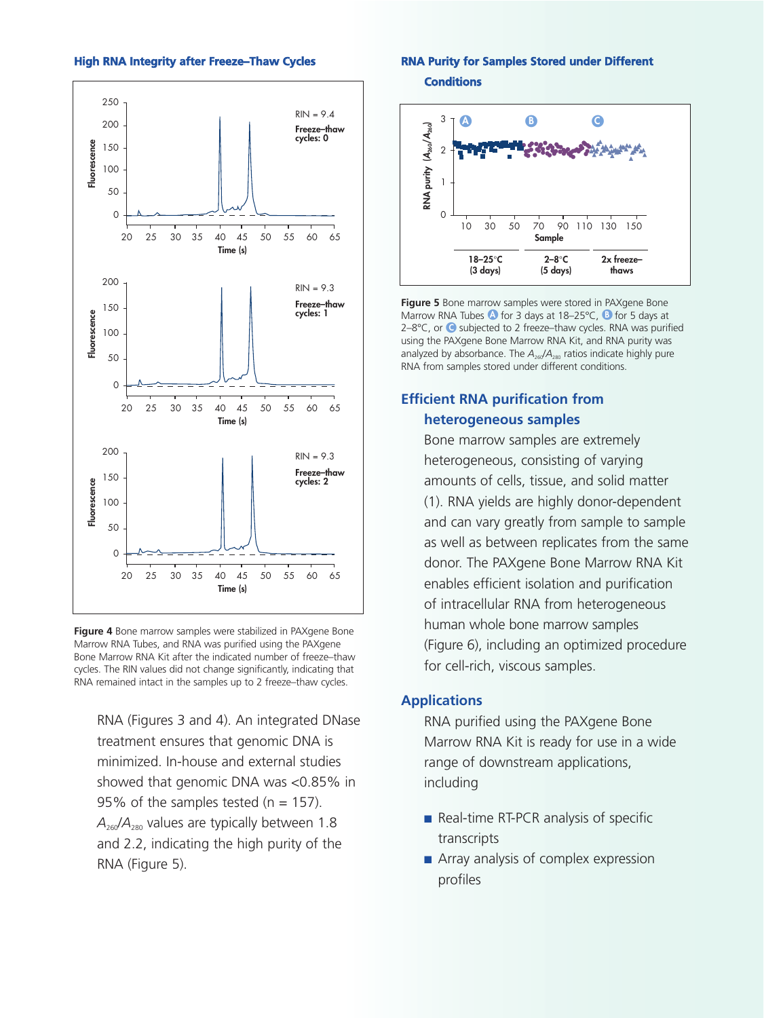#### **High RNA Integrity after Freeze–Thaw Cycles**



**Figure 4** Bone marrow samples were stabilized in PAXgene Bone Marrow RNA Tubes, and RNA was purified using the PAXgene Bone Marrow RNA Kit after the indicated number of freeze–thaw cycles. The RIN values did not change significantly, indicating that RNA remained intact in the samples up to 2 freeze–thaw cycles.

RNA (Figures 3 and 4). An integrated DNase treatment ensures that genomic DNA is minimized. In-house and external studies showed that genomic DNA was <0.85% in 95% of the samples tested ( $n = 157$ ).  $A_{260}/A_{280}$  values are typically between 1.8 and 2.2, indicating the high purity of the RNA (Figure 5).

# **RNA Purity for Samples Stored under Different**

**Conditions**



**Figure 5** Bone marrow samples were stored in PAXgene Bone Marrow RNA Tubes **O** for 3 days at 18–25°C, **D** for 5 days at 2–8°C, or O**<sup>C</sup>** subjected to 2 freeze–thaw cycles. RNA was purified using the PAXgene Bone Marrow RNA Kit, and RNA purity was analyzed by absorbance. The  $A_{260}/A_{280}$  ratios indicate highly pure RNA from samples stored under different conditions.

# **Efficient RNA purification from heterogeneous samples**

Bone marrow samples are extremely heterogeneous, consisting of varying amounts of cells, tissue, and solid matter (1). RNA yields are highly donor-dependent and can vary greatly from sample to sample as well as between replicates from the same donor. The PAXgene Bone Marrow RNA Kit enables efficient isolation and purification of intracellular RNA from heterogeneous human whole bone marrow samples (Figure 6), including an optimized procedure for cell-rich, viscous samples.

# **Applications**

RNA purified using the PAXgene Bone Marrow RNA Kit is ready for use in a wide range of downstream applications, including

- $\blacksquare$  Real-time RT-PCR analysis of specific transcripts
- $\blacksquare$  Array analysis of complex expression profiles